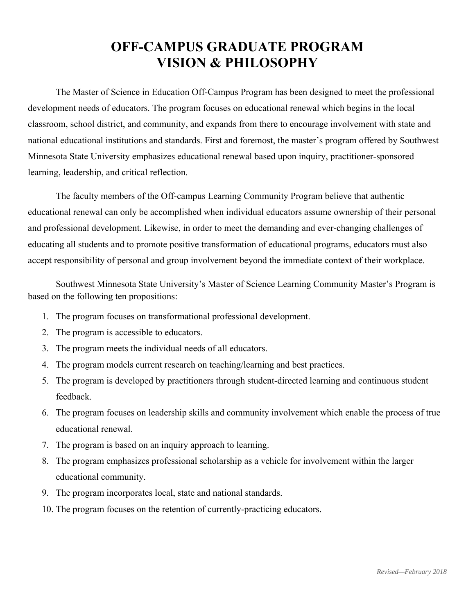# **OFF-CAMPUS GRADUATE PROGRAM VISION & PHILOSOPHY**

The Master of Science in Education Off-Campus Program has been designed to meet the professional development needs of educators. The program focuses on educational renewal which begins in the local classroom, school district, and community, and expands from there to encourage involvement with state and national educational institutions and standards. First and foremost, the master's program offered by Southwest Minnesota State University emphasizes educational renewal based upon inquiry, practitioner-sponsored learning, leadership, and critical reflection.

The faculty members of the Off-campus Learning Community Program believe that authentic educational renewal can only be accomplished when individual educators assume ownership of their personal and professional development. Likewise, in order to meet the demanding and ever-changing challenges of educating all students and to promote positive transformation of educational programs, educators must also accept responsibility of personal and group involvement beyond the immediate context of their workplace.

 Southwest Minnesota State University's Master of Science Learning Community Master's Program is based on the following ten propositions:

- 1. The program focuses on transformational professional development.
- 2. The program is accessible to educators.
- 3. The program meets the individual needs of all educators.
- 4. The program models current research on teaching/learning and best practices.
- 5. The program is developed by practitioners through student-directed learning and continuous student feedback.
- 6. The program focuses on leadership skills and community involvement which enable the process of true educational renewal.
- 7. The program is based on an inquiry approach to learning.
- 8. The program emphasizes professional scholarship as a vehicle for involvement within the larger educational community.
- 9. The program incorporates local, state and national standards.
- 10. The program focuses on the retention of currently-practicing educators.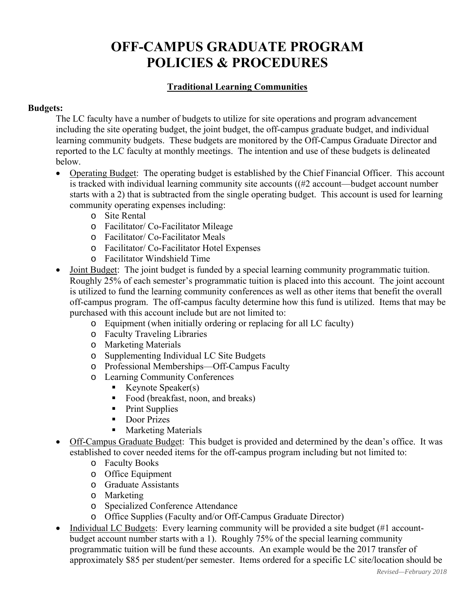# **OFF-CAMPUS GRADUATE PROGRAM POLICIES & PROCEDURES**

# **Traditional Learning Communities**

## **Budgets:**

The LC faculty have a number of budgets to utilize for site operations and program advancement including the site operating budget, the joint budget, the off-campus graduate budget, and individual learning community budgets. These budgets are monitored by the Off-Campus Graduate Director and reported to the LC faculty at monthly meetings. The intention and use of these budgets is delineated below.

- Operating Budget: The operating budget is established by the Chief Financial Officer. This account is tracked with individual learning community site accounts  $((#2 \text{ account}-budget \text{ account number})$ starts with a 2) that is subtracted from the single operating budget. This account is used for learning community operating expenses including:
	- o Site Rental
	- o Facilitator/ Co-Facilitator Mileage
	- o Facilitator/ Co-Facilitator Meals
	- o Facilitator/ Co-Facilitator Hotel Expenses
	- o Facilitator Windshield Time
- Joint Budget: The joint budget is funded by a special learning community programmatic tuition. Roughly 25% of each semester's programmatic tuition is placed into this account. The joint account is utilized to fund the learning community conferences as well as other items that benefit the overall off-campus program. The off-campus faculty determine how this fund is utilized. Items that may be purchased with this account include but are not limited to:
	- o Equipment (when initially ordering or replacing for all LC faculty)
	- o Faculty Traveling Libraries
	- o Marketing Materials
	- o Supplementing Individual LC Site Budgets
	- o Professional Memberships—Off-Campus Faculty
	- o Learning Community Conferences
		- Keynote Speaker(s)
		- Food (breakfast, noon, and breaks)
		- Print Supplies
		- **Door Prizes**
		- Marketing Materials
- Off-Campus Graduate Budget: This budget is provided and determined by the dean's office. It was established to cover needed items for the off-campus program including but not limited to:
	- o Faculty Books
	- o Office Equipment
	- o Graduate Assistants
	- o Marketing
	- o Specialized Conference Attendance
	- o Office Supplies (Faculty and/or Off-Campus Graduate Director)
- Individual LC Budgets: Every learning community will be provided a site budget (#1 accountbudget account number starts with a 1). Roughly 75% of the special learning community programmatic tuition will be fund these accounts. An example would be the 2017 transfer of approximately \$85 per student/per semester. Items ordered for a specific LC site/location should be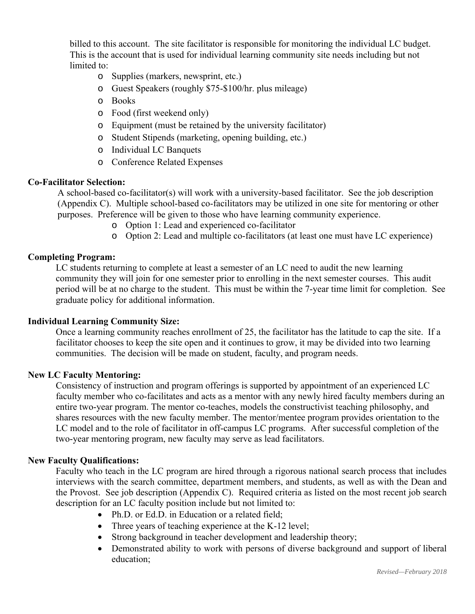billed to this account. The site facilitator is responsible for monitoring the individual LC budget. This is the account that is used for individual learning community site needs including but not limited to:

- o Supplies (markers, newsprint, etc.)
- o Guest Speakers (roughly \$75-\$100/hr. plus mileage)
- o Books
- o Food (first weekend only)
- o Equipment (must be retained by the university facilitator)
- o Student Stipends (marketing, opening building, etc.)
- o Individual LC Banquets
- o Conference Related Expenses

#### **Co-Facilitator Selection:**

A school-based co-facilitator(s) will work with a university-based facilitator. See the job description (Appendix C). Multiple school-based co-facilitators may be utilized in one site for mentoring or other purposes. Preference will be given to those who have learning community experience.

- o Option 1: Lead and experienced co-facilitator
- o Option 2: Lead and multiple co-facilitators (at least one must have LC experience)

### **Completing Program:**

LC students returning to complete at least a semester of an LC need to audit the new learning community they will join for one semester prior to enrolling in the next semester courses. This audit period will be at no charge to the student. This must be within the 7-year time limit for completion. See graduate policy for additional information.

### **Individual Learning Community Size:**

Once a learning community reaches enrollment of 25, the facilitator has the latitude to cap the site. If a facilitator chooses to keep the site open and it continues to grow, it may be divided into two learning communities. The decision will be made on student, faculty, and program needs.

#### **New LC Faculty Mentoring:**

Consistency of instruction and program offerings is supported by appointment of an experienced LC faculty member who co-facilitates and acts as a mentor with any newly hired faculty members during an entire two-year program. The mentor co-teaches, models the constructivist teaching philosophy, and shares resources with the new faculty member. The mentor/mentee program provides orientation to the LC model and to the role of facilitator in off-campus LC programs. After successful completion of the two-year mentoring program, new faculty may serve as lead facilitators.

#### **New Faculty Qualifications:**

Faculty who teach in the LC program are hired through a rigorous national search process that includes interviews with the search committee, department members, and students, as well as with the Dean and the Provost. See job description (Appendix C). Required criteria as listed on the most recent job search description for an LC faculty position include but not limited to:

- Ph.D. or Ed.D. in Education or a related field;
- Three years of teaching experience at the K-12 level;
- Strong background in teacher development and leadership theory;
- Demonstrated ability to work with persons of diverse background and support of liberal education;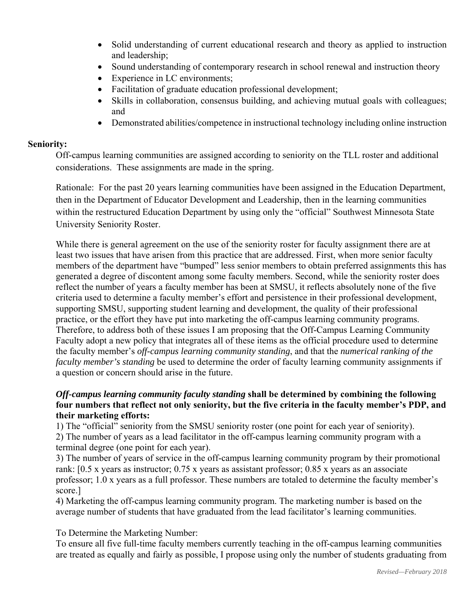- Solid understanding of current educational research and theory as applied to instruction and leadership;
- Sound understanding of contemporary research in school renewal and instruction theory
- Experience in LC environments:
- Facilitation of graduate education professional development;
- Skills in collaboration, consensus building, and achieving mutual goals with colleagues; and
- Demonstrated abilities/competence in instructional technology including online instruction

## **Seniority:**

Off-campus learning communities are assigned according to seniority on the TLL roster and additional considerations. These assignments are made in the spring.

Rationale: For the past 20 years learning communities have been assigned in the Education Department, then in the Department of Educator Development and Leadership, then in the learning communities within the restructured Education Department by using only the "official" Southwest Minnesota State University Seniority Roster.

While there is general agreement on the use of the seniority roster for faculty assignment there are at least two issues that have arisen from this practice that are addressed. First, when more senior faculty members of the department have "bumped" less senior members to obtain preferred assignments this has generated a degree of discontent among some faculty members. Second, while the seniority roster does reflect the number of years a faculty member has been at SMSU, it reflects absolutely none of the five criteria used to determine a faculty member's effort and persistence in their professional development, supporting SMSU, supporting student learning and development, the quality of their professional practice, or the effort they have put into marketing the off-campus learning community programs. Therefore, to address both of these issues I am proposing that the Off-Campus Learning Community Faculty adopt a new policy that integrates all of these items as the official procedure used to determine the faculty member's *off-campus learning community standing*, and that the *numerical ranking of the faculty member's standing* be used to determine the order of faculty learning community assignments if a question or concern should arise in the future.

## *Off-campus learning community faculty standing* **shall be determined by combining the following four numbers that reflect not only seniority, but the five criteria in the faculty member's PDP, and their marketing efforts:**

1) The "official" seniority from the SMSU seniority roster (one point for each year of seniority). 2) The number of years as a lead facilitator in the off-campus learning community program with a terminal degree (one point for each year).

3) The number of years of service in the off-campus learning community program by their promotional rank: [0.5 x years as instructor; 0.75 x years as assistant professor; 0.85 x years as an associate professor; 1.0 x years as a full professor. These numbers are totaled to determine the faculty member's score.]

4) Marketing the off-campus learning community program. The marketing number is based on the average number of students that have graduated from the lead facilitator's learning communities.

To Determine the Marketing Number:

To ensure all five full-time faculty members currently teaching in the off-campus learning communities are treated as equally and fairly as possible, I propose using only the number of students graduating from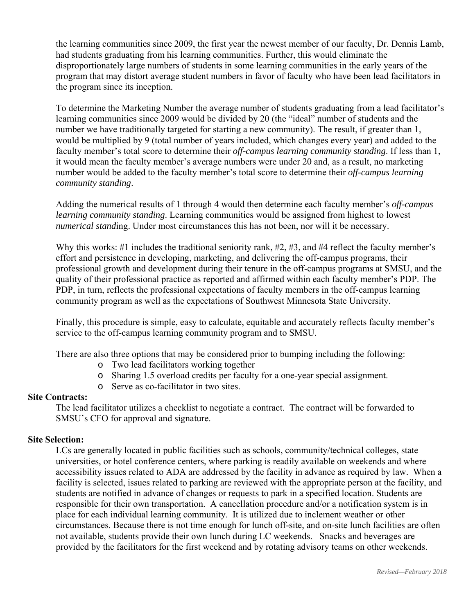the learning communities since 2009, the first year the newest member of our faculty, Dr. Dennis Lamb, had students graduating from his learning communities. Further, this would eliminate the disproportionately large numbers of students in some learning communities in the early years of the program that may distort average student numbers in favor of faculty who have been lead facilitators in the program since its inception.

To determine the Marketing Number the average number of students graduating from a lead facilitator's learning communities since 2009 would be divided by 20 (the "ideal" number of students and the number we have traditionally targeted for starting a new community). The result, if greater than 1, would be multiplied by 9 (total number of years included, which changes every year) and added to the faculty member's total score to determine their *off-campus learning community standing*. If less than 1, it would mean the faculty member's average numbers were under 20 and, as a result, no marketing number would be added to the faculty member's total score to determine their *off-campus learning community standing*.

Adding the numerical results of 1 through 4 would then determine each faculty member's *off-campus learning community standing*. Learning communities would be assigned from highest to lowest *numerical stand*ing. Under most circumstances this has not been, nor will it be necessary.

Why this works: #1 includes the traditional seniority rank, #2, #3, and #4 reflect the faculty member's effort and persistence in developing, marketing, and delivering the off-campus programs, their professional growth and development during their tenure in the off-campus programs at SMSU, and the quality of their professional practice as reported and affirmed within each faculty member's PDP. The PDP, in turn, reflects the professional expectations of faculty members in the off-campus learning community program as well as the expectations of Southwest Minnesota State University.

Finally, this procedure is simple, easy to calculate, equitable and accurately reflects faculty member's service to the off-campus learning community program and to SMSU.

There are also three options that may be considered prior to bumping including the following:

- o Two lead facilitators working together
- o Sharing 1.5 overload credits per faculty for a one-year special assignment.
- o Serve as co-facilitator in two sites.

### **Site Contracts:**

The lead facilitator utilizes a checklist to negotiate a contract. The contract will be forwarded to SMSU's CFO for approval and signature.

### **Site Selection:**

LCs are generally located in public facilities such as schools, community/technical colleges, state universities, or hotel conference centers, where parking is readily available on weekends and where accessibility issues related to ADA are addressed by the facility in advance as required by law. When a facility is selected, issues related to parking are reviewed with the appropriate person at the facility, and students are notified in advance of changes or requests to park in a specified location. Students are responsible for their own transportation. A cancellation procedure and/or a notification system is in place for each individual learning community. It is utilized due to inclement weather or other circumstances. Because there is not time enough for lunch off-site, and on-site lunch facilities are often not available, students provide their own lunch during LC weekends. Snacks and beverages are provided by the facilitators for the first weekend and by rotating advisory teams on other weekends.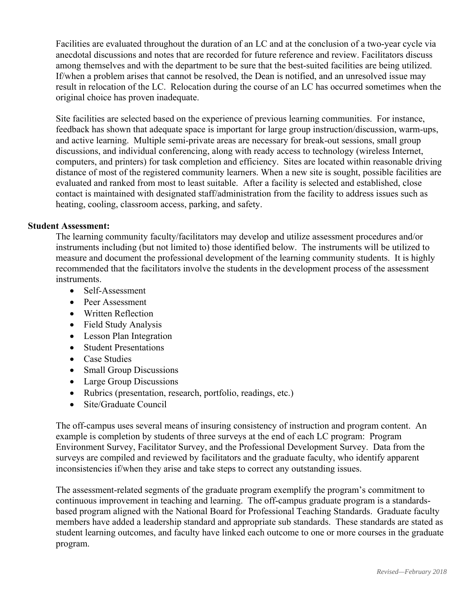Facilities are evaluated throughout the duration of an LC and at the conclusion of a two-year cycle via anecdotal discussions and notes that are recorded for future reference and review. Facilitators discuss among themselves and with the department to be sure that the best-suited facilities are being utilized. If/when a problem arises that cannot be resolved, the Dean is notified, and an unresolved issue may result in relocation of the LC. Relocation during the course of an LC has occurred sometimes when the original choice has proven inadequate.

Site facilities are selected based on the experience of previous learning communities. For instance, feedback has shown that adequate space is important for large group instruction/discussion, warm-ups, and active learning. Multiple semi-private areas are necessary for break-out sessions, small group discussions, and individual conferencing, along with ready access to technology (wireless Internet, computers, and printers) for task completion and efficiency. Sites are located within reasonable driving distance of most of the registered community learners. When a new site is sought, possible facilities are evaluated and ranked from most to least suitable. After a facility is selected and established, close contact is maintained with designated staff/administration from the facility to address issues such as heating, cooling, classroom access, parking, and safety.

### **Student Assessment:**

The learning community faculty/facilitators may develop and utilize assessment procedures and/or instruments including (but not limited to) those identified below. The instruments will be utilized to measure and document the professional development of the learning community students. It is highly recommended that the facilitators involve the students in the development process of the assessment instruments.

- Self-Assessment
- Peer Assessment
- Written Reflection
- Field Study Analysis
- Lesson Plan Integration
- Student Presentations
- Case Studies
- Small Group Discussions
- Large Group Discussions
- Rubrics (presentation, research, portfolio, readings, etc.)
- Site/Graduate Council

The off-campus uses several means of insuring consistency of instruction and program content. An example is completion by students of three surveys at the end of each LC program: Program Environment Survey, Facilitator Survey, and the Professional Development Survey. Data from the surveys are compiled and reviewed by facilitators and the graduate faculty, who identify apparent inconsistencies if/when they arise and take steps to correct any outstanding issues.

The assessment-related segments of the graduate program exemplify the program's commitment to continuous improvement in teaching and learning. The off-campus graduate program is a standardsbased program aligned with the National Board for Professional Teaching Standards. Graduate faculty members have added a leadership standard and appropriate sub standards. These standards are stated as student learning outcomes, and faculty have linked each outcome to one or more courses in the graduate program.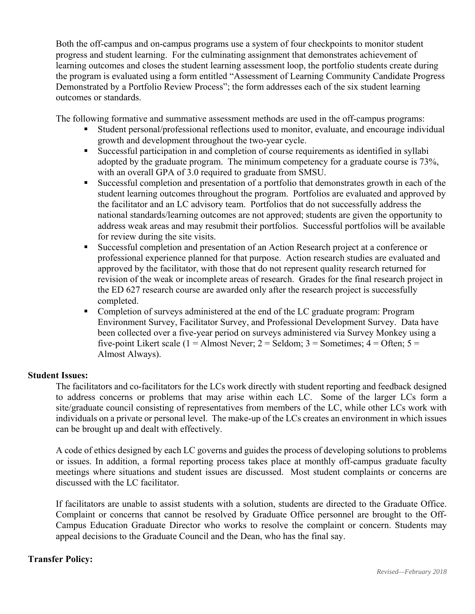Both the off-campus and on-campus programs use a system of four checkpoints to monitor student progress and student learning. For the culminating assignment that demonstrates achievement of learning outcomes and closes the student learning assessment loop, the portfolio students create during the program is evaluated using a form entitled "Assessment of Learning Community Candidate Progress Demonstrated by a Portfolio Review Process"; the form addresses each of the six student learning outcomes or standards.

The following formative and summative assessment methods are used in the off-campus programs:

- Student personal/professional reflections used to monitor, evaluate, and encourage individual growth and development throughout the two-year cycle.
- Successful participation in and completion of course requirements as identified in syllabi adopted by the graduate program. The minimum competency for a graduate course is 73%, with an overall GPA of 3.0 required to graduate from SMSU.
- Successful completion and presentation of a portfolio that demonstrates growth in each of the student learning outcomes throughout the program. Portfolios are evaluated and approved by the facilitator and an LC advisory team. Portfolios that do not successfully address the national standards/learning outcomes are not approved; students are given the opportunity to address weak areas and may resubmit their portfolios. Successful portfolios will be available for review during the site visits.
- Successful completion and presentation of an Action Research project at a conference or professional experience planned for that purpose. Action research studies are evaluated and approved by the facilitator, with those that do not represent quality research returned for revision of the weak or incomplete areas of research. Grades for the final research project in the ED 627 research course are awarded only after the research project is successfully completed.
- Completion of surveys administered at the end of the LC graduate program: Program Environment Survey, Facilitator Survey, and Professional Development Survey. Data have been collected over a five-year period on surveys administered via Survey Monkey using a five-point Likert scale (1 = Almost Never; 2 = Seldom; 3 = Sometimes;  $4 =$  Often;  $5 =$ Almost Always).

### **Student Issues:**

The facilitators and co-facilitators for the LCs work directly with student reporting and feedback designed to address concerns or problems that may arise within each LC. Some of the larger LCs form a site/graduate council consisting of representatives from members of the LC, while other LCs work with individuals on a private or personal level. The make-up of the LCs creates an environment in which issues can be brought up and dealt with effectively.

A code of ethics designed by each LC governs and guides the process of developing solutions to problems or issues. In addition, a formal reporting process takes place at monthly off-campus graduate faculty meetings where situations and student issues are discussed. Most student complaints or concerns are discussed with the LC facilitator.

If facilitators are unable to assist students with a solution, students are directed to the Graduate Office. Complaint or concerns that cannot be resolved by Graduate Office personnel are brought to the Off-Campus Education Graduate Director who works to resolve the complaint or concern. Students may appeal decisions to the Graduate Council and the Dean, who has the final say.

### **Transfer Policy:**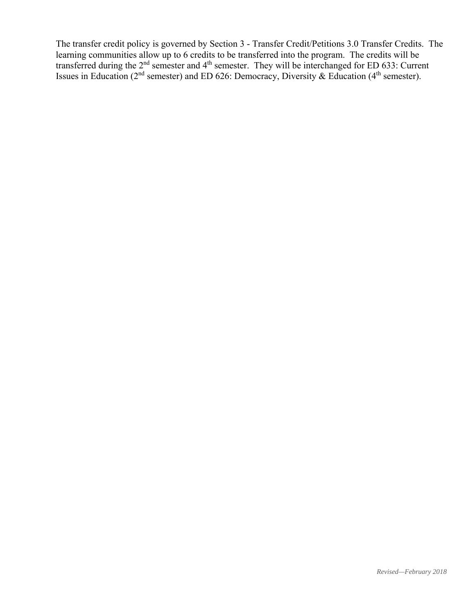The transfer credit policy is governed by Section 3 - Transfer Credit/Petitions 3.0 Transfer Credits. The learning communities allow up to 6 credits to be transferred into the program. The credits will be transferred during the  $2<sup>nd</sup>$  semester and  $4<sup>th</sup>$  semester. They will be interchanged for ED 633: Current Issues in Education ( $2<sup>nd</sup>$  semester) and ED 626: Democracy, Diversity & Education ( $4<sup>th</sup>$  semester).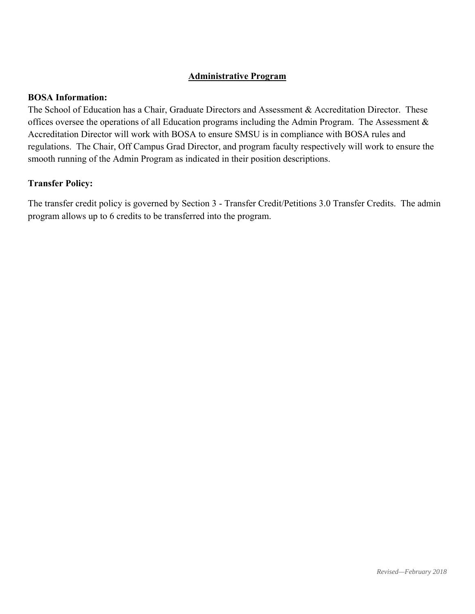## **Administrative Program**

#### **BOSA Information:**

The School of Education has a Chair, Graduate Directors and Assessment & Accreditation Director. These offices oversee the operations of all Education programs including the Admin Program. The Assessment & Accreditation Director will work with BOSA to ensure SMSU is in compliance with BOSA rules and regulations. The Chair, Off Campus Grad Director, and program faculty respectively will work to ensure the smooth running of the Admin Program as indicated in their position descriptions.

#### **Transfer Policy:**

The transfer credit policy is governed by Section 3 - Transfer Credit/Petitions 3.0 Transfer Credits. The admin program allows up to 6 credits to be transferred into the program.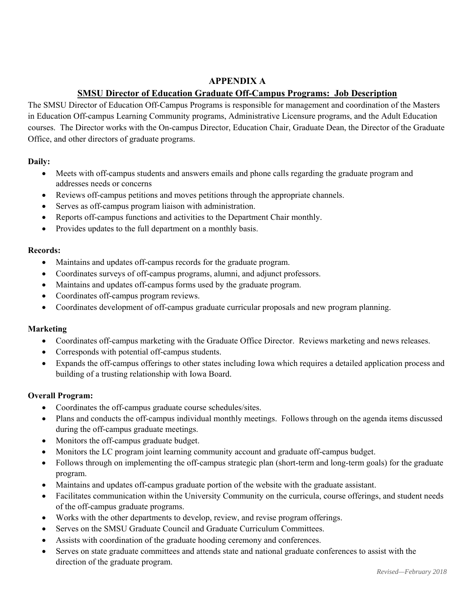# **APPENDIX A**

# **SMSU Director of Education Graduate Off-Campus Programs: Job Description**

The SMSU Director of Education Off-Campus Programs is responsible for management and coordination of the Masters in Education Off-campus Learning Community programs, Administrative Licensure programs, and the Adult Education courses. The Director works with the On-campus Director, Education Chair, Graduate Dean, the Director of the Graduate Office, and other directors of graduate programs.

### **Daily:**

- Meets with off-campus students and answers emails and phone calls regarding the graduate program and addresses needs or concerns
- Reviews off-campus petitions and moves petitions through the appropriate channels.
- Serves as off-campus program liaison with administration.
- Reports off-campus functions and activities to the Department Chair monthly.
- Provides updates to the full department on a monthly basis.

#### **Records:**

- Maintains and updates off-campus records for the graduate program.
- Coordinates surveys of off-campus programs, alumni, and adjunct professors.
- Maintains and updates off-campus forms used by the graduate program.
- Coordinates off-campus program reviews.
- Coordinates development of off-campus graduate curricular proposals and new program planning.

### **Marketing**

- Coordinates off-campus marketing with the Graduate Office Director. Reviews marketing and news releases.
- Corresponds with potential off-campus students.
- Expands the off-campus offerings to other states including Iowa which requires a detailed application process and building of a trusting relationship with Iowa Board.

### **Overall Program:**

- Coordinates the off-campus graduate course schedules/sites.
- Plans and conducts the off-campus individual monthly meetings. Follows through on the agenda items discussed during the off-campus graduate meetings.
- Monitors the off-campus graduate budget.
- Monitors the LC program joint learning community account and graduate off-campus budget.
- Follows through on implementing the off-campus strategic plan (short-term and long-term goals) for the graduate program.
- Maintains and updates off-campus graduate portion of the website with the graduate assistant.
- Facilitates communication within the University Community on the curricula, course offerings, and student needs of the off-campus graduate programs.
- Works with the other departments to develop, review, and revise program offerings.
- Serves on the SMSU Graduate Council and Graduate Curriculum Committees.
- Assists with coordination of the graduate hooding ceremony and conferences.
- Serves on state graduate committees and attends state and national graduate conferences to assist with the direction of the graduate program.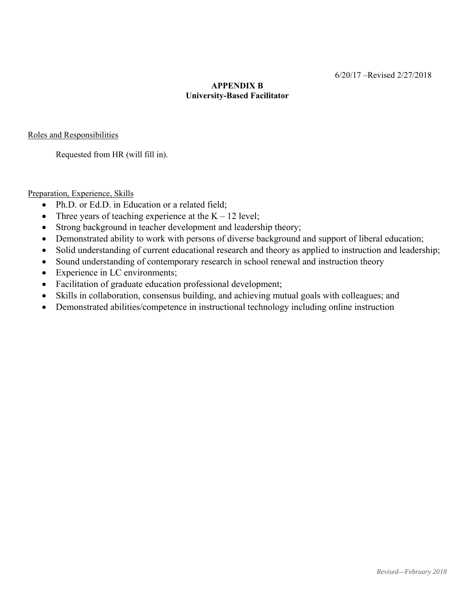## **APPENDIX B University-Based Facilitator**

Roles and Responsibilities

Requested from HR (will fill in).

Preparation, Experience, Skills

- Ph.D. or Ed.D. in Education or a related field;
- Three years of teaching experience at the  $K 12$  level;
- Strong background in teacher development and leadership theory;
- Demonstrated ability to work with persons of diverse background and support of liberal education;
- Solid understanding of current educational research and theory as applied to instruction and leadership;
- Sound understanding of contemporary research in school renewal and instruction theory
- Experience in LC environments;
- Facilitation of graduate education professional development;
- Skills in collaboration, consensus building, and achieving mutual goals with colleagues; and
- Demonstrated abilities/competence in instructional technology including online instruction